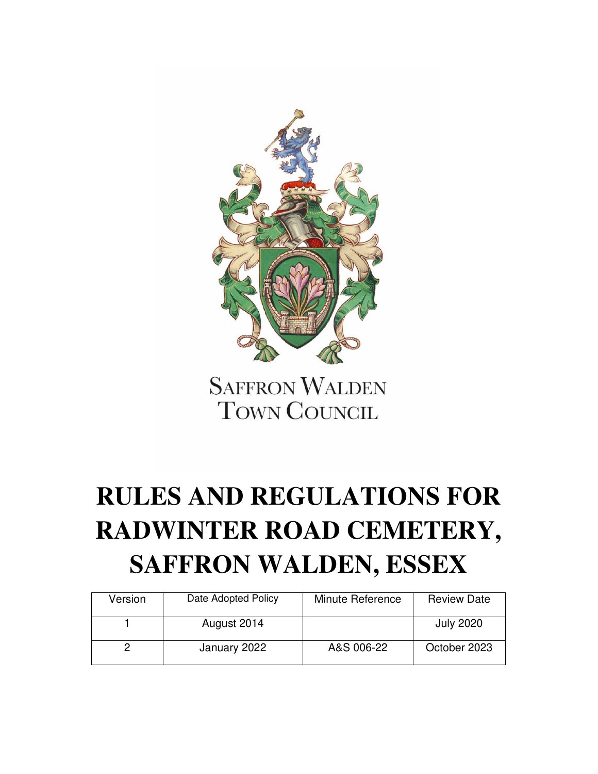

**SAFFRON WALDEN TOWN COUNCIL** 

# **RULES AND REGULATIONS FOR RADWINTER ROAD CEMETERY, SAFFRON WALDEN, ESSEX**

| Version | Date Adopted Policy | Minute Reference | <b>Review Date</b> |
|---------|---------------------|------------------|--------------------|
|         | August 2014         |                  | <b>July 2020</b>   |
|         | January 2022        | A&S 006-22       | October 2023       |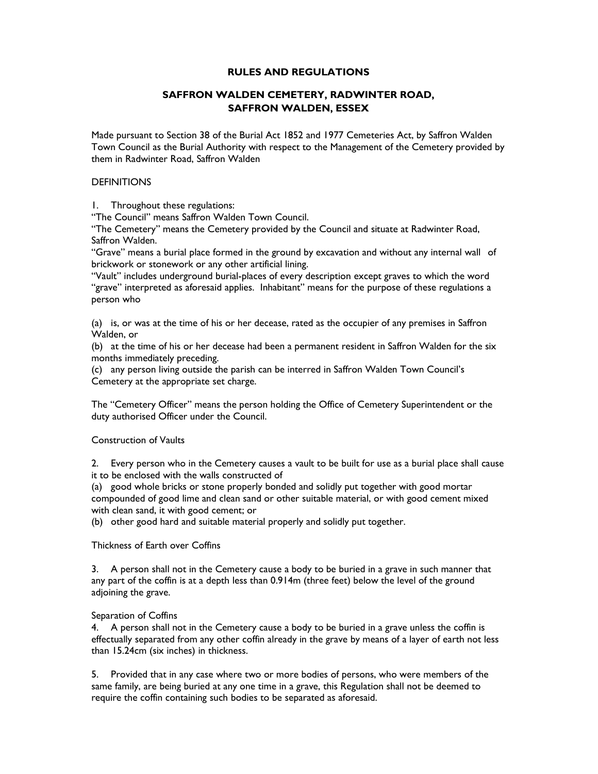## **RULES AND REGULATIONS**

# **SAFFRON WALDEN CEMETERY, RADWINTER ROAD, SAFFRON WALDEN, ESSEX**

Made pursuant to Section 38 of the Burial Act 1852 and 1977 Cemeteries Act, by Saffron Walden Town Council as the Burial Authority with respect to the Management of the Cemetery provided by them in Radwinter Road, Saffron Walden

## **DEFINITIONS**

1. Throughout these regulations:

"The Council" means Saffron Walden Town Council.

"The Cemetery" means the Cemetery provided by the Council and situate at Radwinter Road, Saffron Walden.

"Grave" means a burial place formed in the ground by excavation and without any internal wall of brickwork or stonework or any other artificial lining.

"Vault" includes underground burial-places of every description except graves to which the word "grave" interpreted as aforesaid applies. Inhabitant" means for the purpose of these regulations a person who

(a) is, or was at the time of his or her decease, rated as the occupier of any premises in Saffron Walden, or

(b) at the time of his or her decease had been a permanent resident in Saffron Walden for the six months immediately preceding.

(c) any person living outside the parish can be interred in Saffron Walden Town Council's Cemetery at the appropriate set charge.

The "Cemetery Officer" means the person holding the Office of Cemetery Superintendent or the duty authorised Officer under the Council.

# Construction of Vaults

2. Every person who in the Cemetery causes a vault to be built for use as a burial place shall cause it to be enclosed with the walls constructed of

(a) good whole bricks or stone properly bonded and solidly put together with good mortar compounded of good lime and clean sand or other suitable material, or with good cement mixed with clean sand, it with good cement; or

(b) other good hard and suitable material properly and solidly put together.

Thickness of Earth over Coffins

3. A person shall not in the Cemetery cause a body to be buried in a grave in such manner that any part of the coffin is at a depth less than 0.914m (three feet) below the level of the ground adjoining the grave.

## Separation of Coffins

4. A person shall not in the Cemetery cause a body to be buried in a grave unless the coffin is effectually separated from any other coffin already in the grave by means of a layer of earth not less than 15.24cm (six inches) in thickness.

5. Provided that in any case where two or more bodies of persons, who were members of the same family, are being buried at any one time in a grave, this Regulation shall not be deemed to require the coffin containing such bodies to be separated as aforesaid.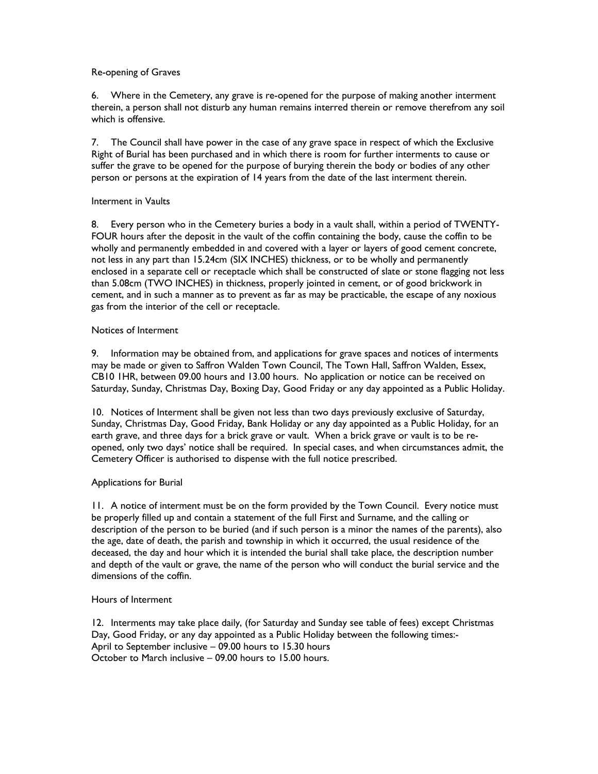## Re-opening of Graves

6. Where in the Cemetery, any grave is re-opened for the purpose of making another interment therein, a person shall not disturb any human remains interred therein or remove therefrom any soil which is offensive.

7. The Council shall have power in the case of any grave space in respect of which the Exclusive Right of Burial has been purchased and in which there is room for further interments to cause or suffer the grave to be opened for the purpose of burying therein the body or bodies of any other person or persons at the expiration of 14 years from the date of the last interment therein.

# Interment in Vaults

8. Every person who in the Cemetery buries a body in a vault shall, within a period of TWENTY-FOUR hours after the deposit in the vault of the coffin containing the body, cause the coffin to be wholly and permanently embedded in and covered with a layer or layers of good cement concrete, not less in any part than 15.24cm (SIX INCHES) thickness, or to be wholly and permanently enclosed in a separate cell or receptacle which shall be constructed of slate or stone flagging not less than 5.08cm (TWO INCHES) in thickness, properly jointed in cement, or of good brickwork in cement, and in such a manner as to prevent as far as may be practicable, the escape of any noxious gas from the interior of the cell or receptacle.

# Notices of Interment

9. Information may be obtained from, and applications for grave spaces and notices of interments may be made or given to Saffron Walden Town Council, The Town Hall, Saffron Walden, Essex, CB10 1HR, between 09.00 hours and 13.00 hours. No application or notice can be received on Saturday, Sunday, Christmas Day, Boxing Day, Good Friday or any day appointed as a Public Holiday.

10. Notices of Interment shall be given not less than two days previously exclusive of Saturday, Sunday, Christmas Day, Good Friday, Bank Holiday or any day appointed as a Public Holiday, for an earth grave, and three days for a brick grave or vault. When a brick grave or vault is to be reopened, only two days' notice shall be required. In special cases, and when circumstances admit, the Cemetery Officer is authorised to dispense with the full notice prescribed.

# Applications for Burial

11. A notice of interment must be on the form provided by the Town Council. Every notice must be properly filled up and contain a statement of the full First and Surname, and the calling or description of the person to be buried (and if such person is a minor the names of the parents), also the age, date of death, the parish and township in which it occurred, the usual residence of the deceased, the day and hour which it is intended the burial shall take place, the description number and depth of the vault or grave, the name of the person who will conduct the burial service and the dimensions of the coffin.

## Hours of Interment

12. Interments may take place daily, (for Saturday and Sunday see table of fees) except Christmas Day, Good Friday, or any day appointed as a Public Holiday between the following times:- April to September inclusive – 09.00 hours to 15.30 hours October to March inclusive – 09.00 hours to 15.00 hours.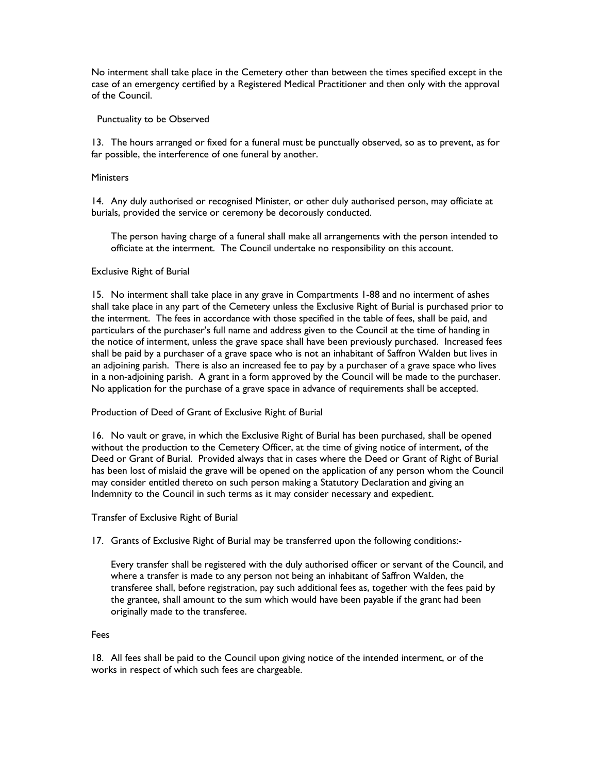No interment shall take place in the Cemetery other than between the times specified except in the case of an emergency certified by a Registered Medical Practitioner and then only with the approval of the Council.

## Punctuality to be Observed

13. The hours arranged or fixed for a funeral must be punctually observed, so as to prevent, as for far possible, the interference of one funeral by another.

## **Ministers**

14. Any duly authorised or recognised Minister, or other duly authorised person, may officiate at burials, provided the service or ceremony be decorously conducted.

 The person having charge of a funeral shall make all arrangements with the person intended to officiate at the interment. The Council undertake no responsibility on this account.

## Exclusive Right of Burial

15. No interment shall take place in any grave in Compartments 1-88 and no interment of ashes shall take place in any part of the Cemetery unless the Exclusive Right of Burial is purchased prior to the interment. The fees in accordance with those specified in the table of fees, shall be paid, and particulars of the purchaser's full name and address given to the Council at the time of handing in the notice of interment, unless the grave space shall have been previously purchased. Increased fees shall be paid by a purchaser of a grave space who is not an inhabitant of Saffron Walden but lives in an adjoining parish. There is also an increased fee to pay by a purchaser of a grave space who lives in a non-adjoining parish. A grant in a form approved by the Council will be made to the purchaser. No application for the purchase of a grave space in advance of requirements shall be accepted.

#### Production of Deed of Grant of Exclusive Right of Burial

16. No vault or grave, in which the Exclusive Right of Burial has been purchased, shall be opened without the production to the Cemetery Officer, at the time of giving notice of interment, of the Deed or Grant of Burial. Provided always that in cases where the Deed or Grant of Right of Burial has been lost of mislaid the grave will be opened on the application of any person whom the Council may consider entitled thereto on such person making a Statutory Declaration and giving an Indemnity to the Council in such terms as it may consider necessary and expedient.

Transfer of Exclusive Right of Burial

17. Grants of Exclusive Right of Burial may be transferred upon the following conditions:-

 Every transfer shall be registered with the duly authorised officer or servant of the Council, and where a transfer is made to any person not being an inhabitant of Saffron Walden, the transferee shall, before registration, pay such additional fees as, together with the fees paid by the grantee, shall amount to the sum which would have been payable if the grant had been originally made to the transferee.

## Fees

18. All fees shall be paid to the Council upon giving notice of the intended interment, or of the works in respect of which such fees are chargeable.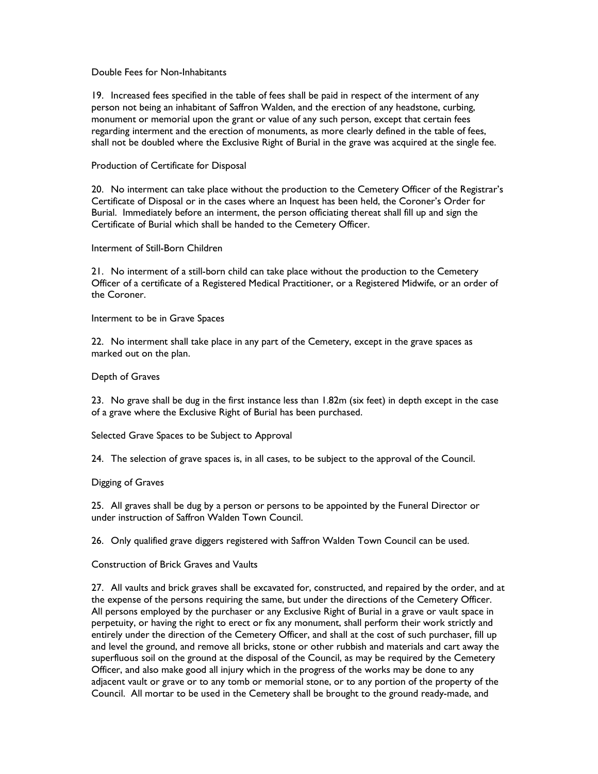## Double Fees for Non-Inhabitants

19. Increased fees specified in the table of fees shall be paid in respect of the interment of any person not being an inhabitant of Saffron Walden, and the erection of any headstone, curbing, monument or memorial upon the grant or value of any such person, except that certain fees regarding interment and the erection of monuments, as more clearly defined in the table of fees, shall not be doubled where the Exclusive Right of Burial in the grave was acquired at the single fee.

## Production of Certificate for Disposal

20. No interment can take place without the production to the Cemetery Officer of the Registrar's Certificate of Disposal or in the cases where an Inquest has been held, the Coroner's Order for Burial. Immediately before an interment, the person officiating thereat shall fill up and sign the Certificate of Burial which shall be handed to the Cemetery Officer.

## Interment of Still-Born Children

21. No interment of a still-born child can take place without the production to the Cemetery Officer of a certificate of a Registered Medical Practitioner, or a Registered Midwife, or an order of the Coroner.

## Interment to be in Grave Spaces

22. No interment shall take place in any part of the Cemetery, except in the grave spaces as marked out on the plan.

## Depth of Graves

23. No grave shall be dug in the first instance less than 1.82m (six feet) in depth except in the case of a grave where the Exclusive Right of Burial has been purchased.

Selected Grave Spaces to be Subject to Approval

24. The selection of grave spaces is, in all cases, to be subject to the approval of the Council.

## Digging of Graves

25. All graves shall be dug by a person or persons to be appointed by the Funeral Director or under instruction of Saffron Walden Town Council.

26. Only qualified grave diggers registered with Saffron Walden Town Council can be used.

# Construction of Brick Graves and Vaults

27. All vaults and brick graves shall be excavated for, constructed, and repaired by the order, and at the expense of the persons requiring the same, but under the directions of the Cemetery Officer. All persons employed by the purchaser or any Exclusive Right of Burial in a grave or vault space in perpetuity, or having the right to erect or fix any monument, shall perform their work strictly and entirely under the direction of the Cemetery Officer, and shall at the cost of such purchaser, fill up and level the ground, and remove all bricks, stone or other rubbish and materials and cart away the superfluous soil on the ground at the disposal of the Council, as may be required by the Cemetery Officer, and also make good all injury which in the progress of the works may be done to any adjacent vault or grave or to any tomb or memorial stone, or to any portion of the property of the Council. All mortar to be used in the Cemetery shall be brought to the ground ready-made, and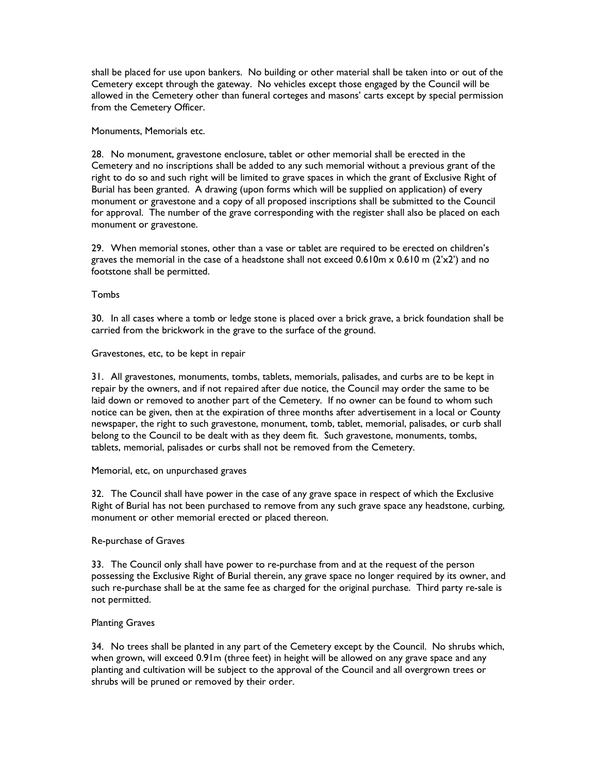shall be placed for use upon bankers. No building or other material shall be taken into or out of the Cemetery except through the gateway. No vehicles except those engaged by the Council will be allowed in the Cemetery other than funeral corteges and masons' carts except by special permission from the Cemetery Officer.

Monuments, Memorials etc.

28. No monument, gravestone enclosure, tablet or other memorial shall be erected in the Cemetery and no inscriptions shall be added to any such memorial without a previous grant of the right to do so and such right will be limited to grave spaces in which the grant of Exclusive Right of Burial has been granted. A drawing (upon forms which will be supplied on application) of every monument or gravestone and a copy of all proposed inscriptions shall be submitted to the Council for approval. The number of the grave corresponding with the register shall also be placed on each monument or gravestone.

29. When memorial stones, other than a vase or tablet are required to be erected on children's graves the memorial in the case of a headstone shall not exceed  $0.610$ m  $\times$  0.610 m (2'x2') and no footstone shall be permitted.

Tombs

30. In all cases where a tomb or ledge stone is placed over a brick grave, a brick foundation shall be carried from the brickwork in the grave to the surface of the ground.

Gravestones, etc, to be kept in repair

31. All gravestones, monuments, tombs, tablets, memorials, palisades, and curbs are to be kept in repair by the owners, and if not repaired after due notice, the Council may order the same to be laid down or removed to another part of the Cemetery. If no owner can be found to whom such notice can be given, then at the expiration of three months after advertisement in a local or County newspaper, the right to such gravestone, monument, tomb, tablet, memorial, palisades, or curb shall belong to the Council to be dealt with as they deem fit. Such gravestone, monuments, tombs, tablets, memorial, palisades or curbs shall not be removed from the Cemetery.

## Memorial, etc, on unpurchased graves

32. The Council shall have power in the case of any grave space in respect of which the Exclusive Right of Burial has not been purchased to remove from any such grave space any headstone, curbing, monument or other memorial erected or placed thereon.

## Re-purchase of Graves

33. The Council only shall have power to re-purchase from and at the request of the person possessing the Exclusive Right of Burial therein, any grave space no longer required by its owner, and such re-purchase shall be at the same fee as charged for the original purchase. Third party re-sale is not permitted.

## Planting Graves

34. No trees shall be planted in any part of the Cemetery except by the Council. No shrubs which, when grown, will exceed 0.91m (three feet) in height will be allowed on any grave space and any planting and cultivation will be subject to the approval of the Council and all overgrown trees or shrubs will be pruned or removed by their order.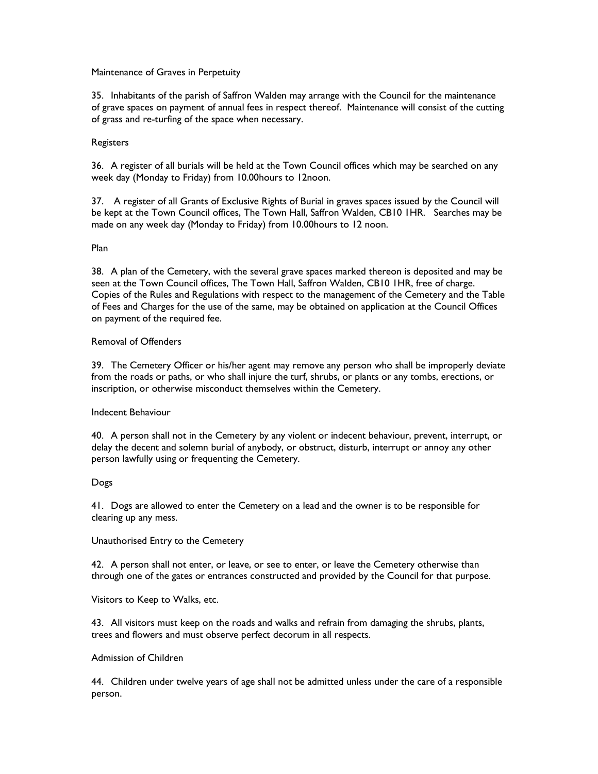## Maintenance of Graves in Perpetuity

35. Inhabitants of the parish of Saffron Walden may arrange with the Council for the maintenance of grave spaces on payment of annual fees in respect thereof. Maintenance will consist of the cutting of grass and re-turfing of the space when necessary.

## **Registers**

36. A register of all burials will be held at the Town Council offices which may be searched on any week day (Monday to Friday) from 10.00hours to 12noon.

37. A register of all Grants of Exclusive Rights of Burial in graves spaces issued by the Council will be kept at the Town Council offices, The Town Hall, Saffron Walden, CB10 1HR. Searches may be made on any week day (Monday to Friday) from 10.00hours to 12 noon.

#### Plan

38. A plan of the Cemetery, with the several grave spaces marked thereon is deposited and may be seen at the Town Council offices, The Town Hall, Saffron Walden, CB10 1HR, free of charge. Copies of the Rules and Regulations with respect to the management of the Cemetery and the Table of Fees and Charges for the use of the same, may be obtained on application at the Council Offices on payment of the required fee.

## Removal of Offenders

39. The Cemetery Officer or his/her agent may remove any person who shall be improperly deviate from the roads or paths, or who shall injure the turf, shrubs, or plants or any tombs, erections, or inscription, or otherwise misconduct themselves within the Cemetery.

#### Indecent Behaviour

40. A person shall not in the Cemetery by any violent or indecent behaviour, prevent, interrupt, or delay the decent and solemn burial of anybody, or obstruct, disturb, interrupt or annoy any other person lawfully using or frequenting the Cemetery.

## Dogs

41. Dogs are allowed to enter the Cemetery on a lead and the owner is to be responsible for clearing up any mess.

Unauthorised Entry to the Cemetery

42. A person shall not enter, or leave, or see to enter, or leave the Cemetery otherwise than through one of the gates or entrances constructed and provided by the Council for that purpose.

Visitors to Keep to Walks, etc.

43. All visitors must keep on the roads and walks and refrain from damaging the shrubs, plants, trees and flowers and must observe perfect decorum in all respects.

#### Admission of Children

44. Children under twelve years of age shall not be admitted unless under the care of a responsible person.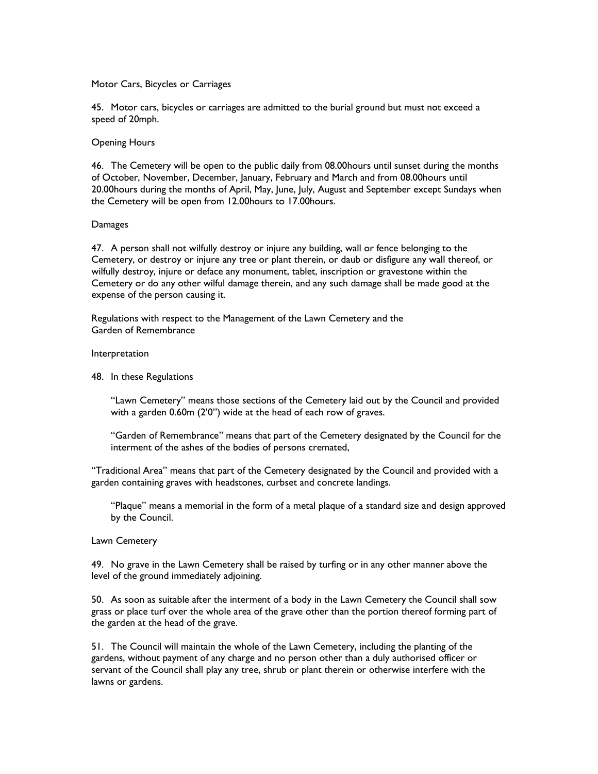## Motor Cars, Bicycles or Carriages

45. Motor cars, bicycles or carriages are admitted to the burial ground but must not exceed a speed of 20mph.

## Opening Hours

46. The Cemetery will be open to the public daily from 08.00hours until sunset during the months of October, November, December, January, February and March and from 08.00hours until 20.00hours during the months of April, May, June, July, August and September except Sundays when the Cemetery will be open from 12.00hours to 17.00hours.

## **Damages**

47. A person shall not wilfully destroy or injure any building, wall or fence belonging to the Cemetery, or destroy or injure any tree or plant therein, or daub or disfigure any wall thereof, or wilfully destroy, injure or deface any monument, tablet, inscription or gravestone within the Cemetery or do any other wilful damage therein, and any such damage shall be made good at the expense of the person causing it.

Regulations with respect to the Management of the Lawn Cemetery and the Garden of Remembrance

#### Interpretation

48. In these Regulations

 "Lawn Cemetery" means those sections of the Cemetery laid out by the Council and provided with a garden 0.60m (2'0") wide at the head of each row of graves.

 "Garden of Remembrance" means that part of the Cemetery designated by the Council for the interment of the ashes of the bodies of persons cremated,

"Traditional Area" means that part of the Cemetery designated by the Council and provided with a garden containing graves with headstones, curbset and concrete landings.

 "Plaque" means a memorial in the form of a metal plaque of a standard size and design approved by the Council.

#### Lawn Cemetery

49. No grave in the Lawn Cemetery shall be raised by turfing or in any other manner above the level of the ground immediately adjoining.

50. As soon as suitable after the interment of a body in the Lawn Cemetery the Council shall sow grass or place turf over the whole area of the grave other than the portion thereof forming part of the garden at the head of the grave.

51. The Council will maintain the whole of the Lawn Cemetery, including the planting of the gardens, without payment of any charge and no person other than a duly authorised officer or servant of the Council shall play any tree, shrub or plant therein or otherwise interfere with the lawns or gardens.